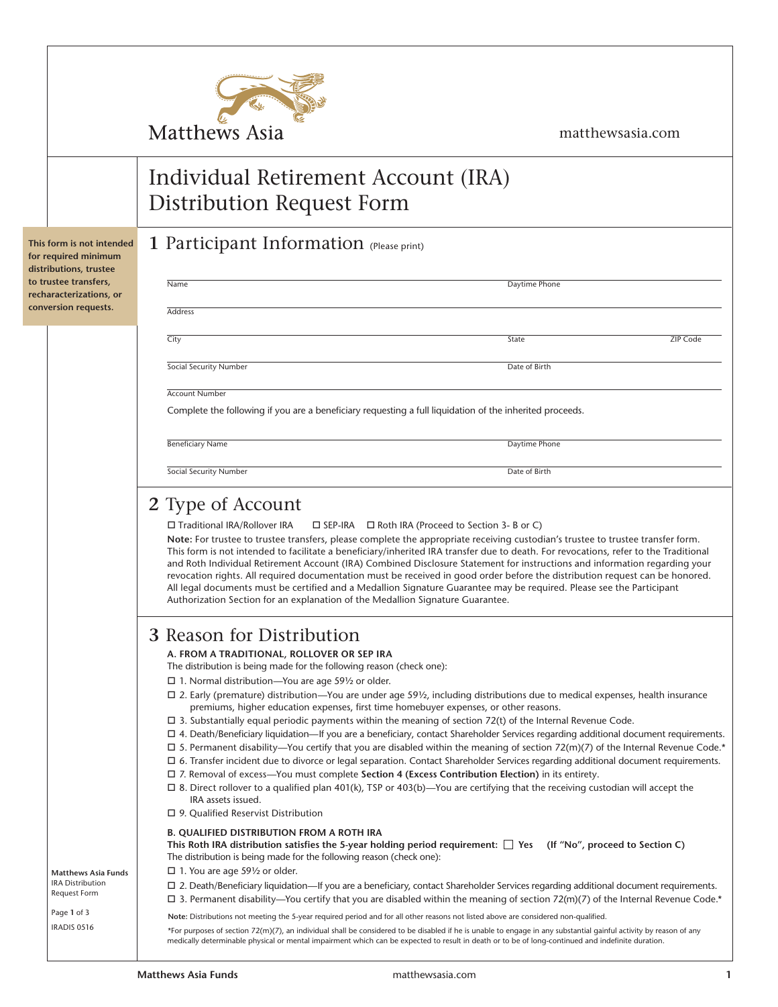

matthewsasia.com

# Individual Retirement Account (IRA) Distribution Request Form

### **1** Participant Information (Please print)

| Name                          | Daytime Phone                                                                                            |
|-------------------------------|----------------------------------------------------------------------------------------------------------|
| <b>Address</b>                |                                                                                                          |
| City                          | <b>ZIP Code</b><br>State                                                                                 |
| <b>Social Security Number</b> | Date of Birth                                                                                            |
| <b>Account Number</b>         |                                                                                                          |
|                               | Complete the following if you are a beneficiary requesting a full liquidation of the inherited proceeds. |
|                               |                                                                                                          |
| <b>Beneficiary Name</b>       | Daytime Phone                                                                                            |
| <b>Social Security Number</b> | Date of Birth                                                                                            |

The distribution is being made for the following reason (check one):

- $\square$  1. Normal distribution—You are age 591/2 or older.
- $\Box$  2. Early (premature) distribution—You are under age 59½, including distributions due to medical expenses, health insurance premiums, higher education expenses, first time homebuyer expenses, or other reasons.
- $\Box$  3. Substantially equal periodic payments within the meaning of section 72(t) of the Internal Revenue Code.
- o 4. Death/Beneficiary liquidation—If you are a beneficiary, contact Shareholder Services regarding additional document requirements.
- $\Box$  5. Permanent disability—You certify that you are disabled within the meaning of section 72(m)(7) of the Internal Revenue Code.\*
- $\Box$  6. Transfer incident due to divorce or legal separation. Contact Shareholder Services regarding additional document requirements.
- □ 7. Removal of excess—You must complete Section 4 (Excess Contribution Election) in its entirety.
- $\Box$  8. Direct rollover to a qualified plan 401(k), TSP or 403(b)—You are certifying that the receiving custodian will accept the IRA assets issued.
- $\square$  9. Qualified Reservist Distribution

#### **B. QUALIFIED DISTRIBUTION FROM A ROTH IRA**

This Roth IRA distribution satisfies the 5-year holding period requirement:  $\Box$  Yes (If "No", proceed to Section C) The distribution is being made for the following reason (check one):

- $\square$  1. You are age 591/2 or older.
- o 2. Death/Beneficiary liquidation—If you are a beneficiary, contact Shareholder Services regarding additional document requirements.
- $\Box$  3. Permanent disability—You certify that you are disabled within the meaning of section 72(m)(7) of the Internal Revenue Code.\*

**Note:** Distributions not meeting the 5-year required period and for all other reasons not listed above are considered non-qualified.

\*For purposes of section 72(m)(7), an individual shall be considered to be disabled if he is unable to engage in any substantial gainful activity by reason of any medically determinable physical or mental impairment which can be expected to result in death or to be of long-continued and indefinite duration.

**This form is not intended for required minimum distributions, trustee to trustee transfers, recharacterizations, or conversion requests.**

> **Matthews Asia Funds** IRA Distribution Request Form Page **1** of 3 IRADIS 0516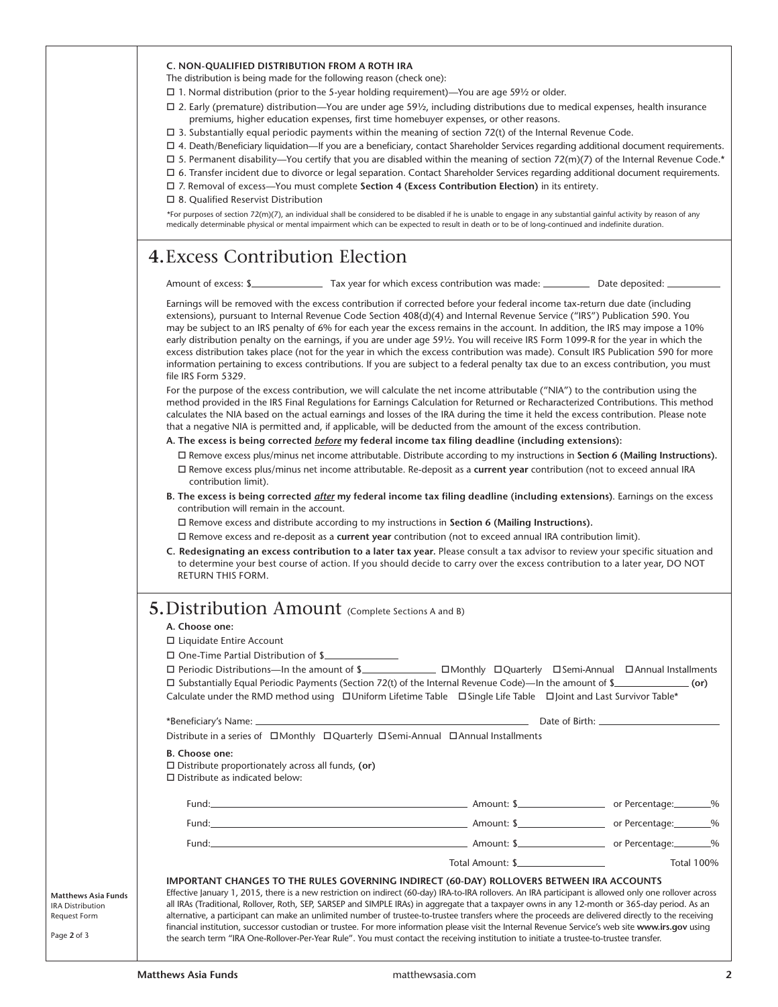| C. NON-QUALIFIED DISTRIBUTION FROM A ROTH IRA |  |  |
|-----------------------------------------------|--|--|
|                                               |  |  |

The distribution is being made for the following reason (check one):

- $\Box$  1. Normal distribution (prior to the 5-year holding requirement)—You are age 59½ or older.
- $\Box$  2. Early (premature) distribution—You are under age 59½, including distributions due to medical expenses, health insurance premiums, higher education expenses, first time homebuyer expenses, or other reasons.
- $\Box$  3. Substantially equal periodic payments within the meaning of section 72(t) of the Internal Revenue Code.
- o 4. Death/Beneficiary liquidation—If you are a beneficiary, contact Shareholder Services regarding additional document requirements.
- $\Box$  5. Permanent disability—You certify that you are disabled within the meaning of section 72(m)(7) of the Internal Revenue Code.\*
- $\Box$  6. Transfer incident due to divorce or legal separation. Contact Shareholder Services regarding additional document requirements.
- o 7. Removal of excess—You must complete **Section 4 (Excess Contribution Election)** in its entirety.
- $\square$  8. Qualified Reservist Distribution

\*For purposes of section 72(m)(7), an individual shall be considered to be disabled if he is unable to engage in any substantial gainful activity by reason of any medically determinable physical or mental impairment which can be expected to result in death or to be of long-continued and indefinite duration.

### **4.**Excess Contribution Election

Amount of excess: \$ Earnings will be removed with the excess contribution if corrected before your federal income tax-return due date (including extensions), pursuant to Internal Revenue Code Section 408(d)(4) and Internal Revenue Service ("IRS") Publication 590. You may be subject to an IRS penalty of 6% for each year the excess remains in the account. In addition, the IRS may impose a 10% early distribution penalty on the earnings, if you are under age 59½. You will receive IRS Form 1099-R for the year in which the excess distribution takes place (not for the year in which the excess contribution was made). Consult IRS Publication 590 for more information pertaining to excess contributions. If you are subject to a federal penalty tax due to an excess contribution, you must file IRS Form 5329. For the purpose of the excess contribution, we will calculate the net income attributable ("NIA") to the contribution using the

method provided in the IRS Final Regulations for Earnings Calculation for Returned or Recharacterized Contributions. This method calculates the NIA based on the actual earnings and losses of the IRA during the time it held the excess contribution. Please note that a negative NIA is permitted and, if applicable, will be deducted from the amount of the excess contribution.

**A. The excess is being corrected** *before* **my federal income tax filing deadline (including extensions):**

- o Remove excess plus/minus net income attributable. Distribute according to my instructions in **Section 6 (Mailing Instructions).** o Remove excess plus/minus net income attributable. Re-deposit as a **current year** contribution (not to exceed annual IRA contribution limit).
- **B. The excess is being corrected** *after* **my federal income tax filing deadline (including extensions)**. Earnings on the excess contribution will remain in the account.

□ Remove excess and distribute according to my instructions in **Section 6 (Mailing Instructions).** 

- o Remove excess and re-deposit as a **current year** contribution (not to exceed annual IRA contribution limit).
- **C. Redesignating an excess contribution to a later tax year.** Please consult a tax advisor to review your specific situation and to determine your best course of action. If you should decide to carry over the excess contribution to a later year, DO NOT RETURN THIS FORM.

### **5.**Distribution Amount (Complete Sections A and B)

### **A. Choose one:**

- $\square$  Liquidate Entire Account
- $\square$  One-Time Partial Distribution of \$

| $\Box$ Periodic Distributions—In the amount of \$                                                                                 |  | □Monthly □Quarterly □Semi-Annual □Annual Installments |
|-----------------------------------------------------------------------------------------------------------------------------------|--|-------------------------------------------------------|
| $\Box$ Substantially Equal Periodic Payments (Section 72(t) of the Internal Revenue Code)—In the amount of \$                     |  | (or)                                                  |
| Calculate under the RMD method using $\Box$ Uniform Lifetime Table $\Box$ Single Life Table $\Box$ Joint and Last Survivor Table* |  |                                                       |

|                                                                                                                                                                                                                               |  | Date of Birth: 2008 Contract of Birth: |                   |
|-------------------------------------------------------------------------------------------------------------------------------------------------------------------------------------------------------------------------------|--|----------------------------------------|-------------------|
| Distribute in a series of □Monthly □Quarterly □Semi-Annual □Annual Installments                                                                                                                                               |  |                                        |                   |
| B. Choose one:<br>$\Box$ Distribute proportionately across all funds, (or)<br>$\Box$ Distribute as indicated below:                                                                                                           |  |                                        |                   |
|                                                                                                                                                                                                                               |  |                                        |                   |
| Fund: Contract Contract Contract Contract Contract Contract Contract Contract Contract Contract Contract Contract Contract Contract Contract Contract Contract Contract Contract Contract Contract Contract Contract Contract |  |                                        |                   |
|                                                                                                                                                                                                                               |  |                                        |                   |
|                                                                                                                                                                                                                               |  |                                        | <b>Total 100%</b> |
| IMPORTANT CHANGES TO THE RULES GOVERNING INDIRECT (60-DAY) ROLLOVERS BETWEEN IRA ACCOUNTS                                                                                                                                     |  |                                        |                   |

**Matthews Asia Funds** IRA Distribution Request Form

Page **2** of 3

the search term "IRA One-Rollover-Per-Year Rule". You must contact the receiving institution to initiate a trustee-to-trustee transfer.

Effective January 1, 2015, there is a new restriction on indirect (60-day) IRA-to-IRA rollovers. An IRA participant is allowed only one rollover across all IRAs (Traditional, Rollover, Roth, SEP, SARSEP and SIMPLE IRAs) in aggregate that a taxpayer owns in any 12-month or 365-day period. As an alternative, a participant can make an unlimited number of trustee-to-trustee transfers where the proceeds are delivered directly to the receiving financial institution, successor custodian or trustee. For more information please visit the Internal Revenue Service's web site **www.irs.gov** using